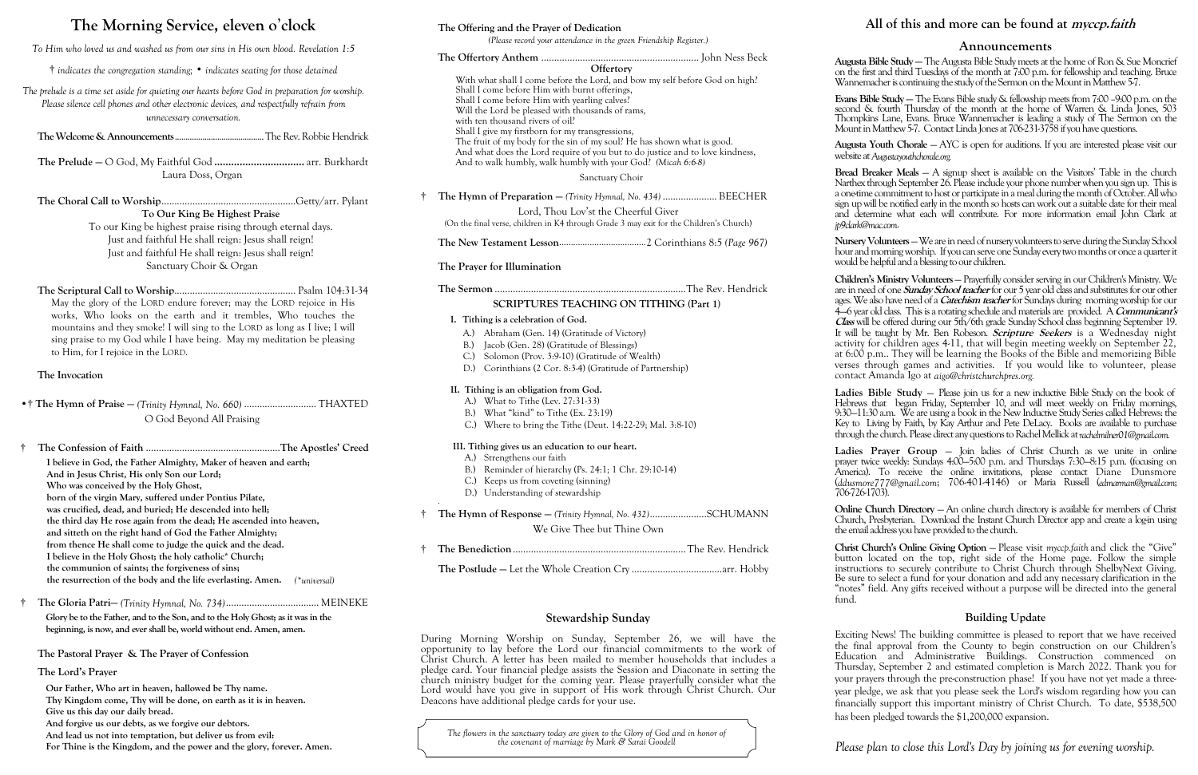## **The Morning Service, eleven o**'**clock**

*To Him who loved us and washed us from our sins in His own blood. Revelation 1:5*

† *indicates the congregation standing;* • *indicates seating for those detained*

*The prelude is a time set aside for quieting our hearts before God in preparation for worship. Please silence cell phones and other electronic devices, and respectfully refrain from unnecessary conversation.*

**The Welcome & Announcements**..........................................The Rev. Robbie Hendrick

**The Prelude —** O God, My Faithful God **................................** arr. Burkhardt Laura Doss, Organ

**The Choral Call to Worship**....................................................Getty/arr. Pylant **To Our King Be Highest Praise**

To our King be highest praise rising through eternal days. Just and faithful He shall reign: Jesus shall reign! Just and faithful He shall reign: Jesus shall reign! Sanctuary Choir & Organ

**The Scriptural Call to Worship**............................................... Psalm 104:31-34 May the glory of the LORD endure forever; may the LORD rejoice in His works, Who looks on the earth and it trembles, Who touches the mountains and they smoke! I will sing to the LORD as long as I live; I will sing praise to my God while I have being. May my meditation be pleasing to Him, for I rejoice in the LORD.

#### **The Invocation**

- •† **The Hymn of Praise —** *(Trinity Hymnal, No. 660)* ............................ THAXTED O God Beyond All Praising
- † **The Confession of Faith** ....................................................**The Apostles' Creed I believe in God, the Father Almighty, Maker of heaven and earth; And in Jesus Christ, His only Son our Lord; Who was conceived by the Holy Ghost, born of the virgin Mary, suffered under Pontius Pilate, was crucified, dead, and buried; He descended into hell; the third day He rose again from the dead; He ascended into heaven, and sitteth on the right hand of God the Father Almighty; from thence He shall come to judge the quick and the dead. I believe in the Holy Ghost; the holy catholic\* Church; the communion of saints; the forgiveness of sins; the resurrection of the body and the life everlasting. Amen.** *(\*universal)*
- † **The Gloria Patri—** *(Trinity Hymnal, No. 734)*.................................... MEINEKE

**Glory be to the Father, and to the Son, and to the Holy Ghost; as it was in the beginning, is now, and ever shall be, world without end. Amen, amen.**

**The Pastoral Prayer & The Prayer of Confession**

#### **The Lord's Prayer**

**Our Father, Who art in heaven, hallowed be Thy name.**

- **Thy Kingdom come, Thy will be done, on earth as it is in heaven.**
- **Give us this day our daily bread.**
- **And forgive us our debts, as we forgive our debtors.**
- **And lead us not into temptation, but deliver us from evil:**

**Augusta Bible Study —** The Augusta Bible Study meets at the home of Ron & Sue Moncrief st and third Tuesdays of the month at 7:00 p.m. for fellowship and teaching. Bruce ) acher is continuing the study of the Sermon on the Mount in Matthew 5-7.

**For Thine is the Kingdom, and the power and the glory, forever. Amen.**

#### **The Offering and the Prayer of Dedication**

*(Please record your attendance in the green Friendship Register.)*

**Evans Bible Study —** The Evans Bible study & fellowship meets from 7:00 –9:00 p.m. on the  $\alpha$  fourth Thursday of the month at the home of Warren & Linda Jones, 503 ins Lane, Evans. Bruce Wannemacher is leading a study of The Sermon on the Matthew 5-7. Contact Linda Jones at  $706$ 231-3758 if you have questions.

Youth Chorale – AYC is open for auditions. If you are interested please visit our Augustayouthchorale.org.

reaker Meals – A signup sheet is available on the Visitors' Table in the church hrough September 26. Please include your phone number when you sign up. This is e commitment to host or participate in a meal during the month of October. All who  $\kappa$ ill be notified early in the month so hosts can work out a suitable date for their meal rmine what each will contribute. For more information email John Clark at *jp9clark@mac.com*.

**Nursery Volunteers** —We are in need of nursery volunteers to serve during the Sunday School morning worship. If you can serve one Sunday every two months or once a quarter it helpful and a blessing to our children.

|   | Offertory                                                                                                                                                                                                                                  | Augusta l<br>on the fir                      |
|---|--------------------------------------------------------------------------------------------------------------------------------------------------------------------------------------------------------------------------------------------|----------------------------------------------|
|   | With what shall I come before the Lord, and bow my self before God on high?                                                                                                                                                                | Wannem                                       |
|   | Shall I come before Him with burnt offerings,<br>Shall I come before Him with yearling calves?<br>Will the Lord be pleased with thousands of rams,<br>with ten thousand rivers of oil?<br>Shall I give my firstborn for my transgressions, | Evans Bil<br>second &<br>Thompki<br>Mount in |
|   | The fruit of my body for the sin of my soul? He has shown what is good.<br>And what does the Lord require of you but to do justice and to love kindness,<br>And to walk humbly, walk humbly with your God? (Micah 6:6-8)                   | Augusta<br>website at                        |
|   | Sanctuary Choir                                                                                                                                                                                                                            | Bread B<br>Narthex t                         |
| t | The Hymn of Preparation - (Trinity Hymnal, No. 434)  BEECHER                                                                                                                                                                               | a one-time                                   |
|   | Lord, Thou Lov'st the Cheerful Giver<br>(On the final verse, children in K4 through Grade 3 may exit for the Children's Church)                                                                                                            | sign up w<br>and dete<br>jp9clark@r          |
|   |                                                                                                                                                                                                                                            | Nursery <sub>V</sub><br>hour and             |
|   | The Prayer for Illumination                                                                                                                                                                                                                | would be                                     |
|   |                                                                                                                                                                                                                                            | Children <sup>'</sup><br>are in nee          |
|   | <b>SCRIPTURES TEACHING ON TITHING (Part 1)</b>                                                                                                                                                                                             | ages. We<br>$4 - 6$ year                     |
|   | I. Tithing is a celebration of God.                                                                                                                                                                                                        | Class will                                   |
|   | A.) Abraham (Gen. 14) (Gratitude of Victory)                                                                                                                                                                                               | It will be                                   |
|   | Jacob (Gen. 28) (Gratitude of Blessings)<br>B.                                                                                                                                                                                             | activity f                                   |
|   | Solomon (Prov. 3:9-10) (Gratitude of Wealth)<br>C.                                                                                                                                                                                         | at $6:00 \text{ p}$<br>verses th             |
|   | D.) Corinthians (2 Cor. 8:3-4) (Gratitude of Partnership)                                                                                                                                                                                  | contact /                                    |
|   | II. Tithing is an obligation from God.                                                                                                                                                                                                     | Ladies 1                                     |
|   | A.) What to Tithe (Lev. 27:31-33)                                                                                                                                                                                                          | <b>Hebrews</b>                               |
|   | B.) What "kind" to Tithe (Ex. 23:19)                                                                                                                                                                                                       | $9:30 - 11:3$                                |
|   | C.) Where to bring the Tithe (Deut. 14:22-29; Mal. 3:8-10)                                                                                                                                                                                 | Key to I<br>through t                        |
|   | III. Tithing gives us an education to our heart.                                                                                                                                                                                           | Ladies                                       |
|   | A.) Strengthens our faith                                                                                                                                                                                                                  | prayer tw                                    |
|   | B.) Reminder of hierarchy (Ps. 24:1; 1 Chr. 29:10-14)                                                                                                                                                                                      | America).                                    |
|   | C.) Keeps us from coveting (sinning)                                                                                                                                                                                                       | (ddusmor                                     |

**Prayer Group –** Join ladies of Christ Church as we unite in online prayer twice weekly: Sundays 4:00—5:00 p.m. and Thursdays 7:30—8:15 p.m. (focusing on To receive the online invitations, please contact Diane Dunsmore (*ddusmore777@gmail.com*; 706-401-4146) or Maria Russell (*edmarman@gmail.com*; 706-726-1703).

**Christ Church's Online Giving Option – Please visit** *myccp.faith* **and click the "Give"** button located on the top, right side of the Home page. Follow the simple instructions to securely contribute to Christ Church through ShelbyNext Giving. Be sure to select a fund for your donation and add any necessary clarification in the "notes" field. Any gifts received without a purpose will be directed into the general fund.

D.) Understanding of stewardship

† **The Hymn of Response —** *(Trinity Hymnal, No. 432)*......................SCHUMANN We Give Thee but Thine Own

- † **The Benediction**...................................................................The Rev. Hendrick
	- **The Postlude —** Let the Whole Creation Cry ...................................arr. Hobby

#### **Stewardship Sunday**

During Morning Worship on Sunday, September 26, we will have the opportunity to lay before the Lord our financial commitments to the work of Christ Church. A letter has been mailed to member households that includes a pledge card. Your financial pledge assists the Session and Diaconate in setting the church ministry budget for the coming year. Please prayerfully consider what the Lord would have you give in support of His work through Christ Church. Our Deacons have additional pledge cards for your use.

*Please plan to close this Lord's Day by joining us for evening worship.*

#### **Announcements**

**Children's Ministry Volunteers** — Prayerfully consider serving in our Children's Ministry. We are in need of one **Sunday School teacher** for our 5 year old class and substitutes for our other also have need of a *Catechism teacher* for Sundays during morning worship for our 4—-6 year old class. This is a rotating schedule and materials are provided. A **Communicant's**  be offered during our 5th/6th grade Sunday School class beginning September 19. taught by Mr. Ben Robeson. **Scripture Seekers** is a Wednesday night for children ages 4-11, that will begin meeting weekly on September  $22$ , b.m.. They will be learning the Books of the Bible and memorizing Bible hrough games and activities. If you would like to volunteer, please contact Amanda Igo at *aigo@christchurchpres.org.*

**Bible Study** — Please join us for a new inductive Bible Study on the book of that began Friday, September 10, and will meet weekly on Friday mornings, 30 a.m. We are using a book in the New Inductive Study Series called Hebrews: the Living by Faith, by Kay Arthur and Pete DeLacy. Books are available to purchase the church. Please direct any questions to Rachel Mellick at *rachelmilner*01@*gmail.com* 

**Online Church Directory** — An online church directory is available for members of Christ Church, Presbyterian. Download the Instant Church Director app and create a log-in using the email address you have provided to the church.

#### **Building Update**

Exciting News! The building committee is pleased to report that we have received the final approval from the County to begin construction on our Children's Education and Administrative Buildings. Construction commenced on Thursday, September 2 and estimated completion is March 2022. Thank you for your prayers through the pre-construction phase! If you have not yet made a threeyear pledge, we ask that you please seek the Lord's wisdom regarding how you can financially support this important ministry of Christ Church. To date, \$538,500 has been pledged towards the \$1,200,000 expansion.

#### **All of this and more can be found at myccp.faith**

*The flowers in the sanctuary today are given to the Glory of God and in honor of the covenant of marriage by Mark & Sarai Goodell*